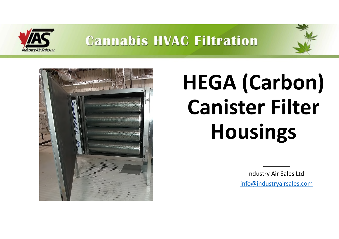





# **HEGA (Carbon) Canister Filter Housings**

Industry Air Sales Ltd.

info@industryairsales.com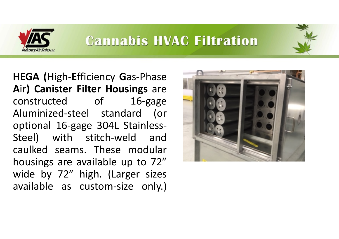

**HEGA (H**igh-**E**fficiency **G**as-Phase **A**ir**) Canister Filter Housings** are constructed of 16-gage Aluminized-steel standard (or optional 16-gage 304L Stainless-Steel) with stitch-weld and caulked seams. These modular housings are available up to 72" wide by 72" high. (Larger sizes available as custom-size only.)

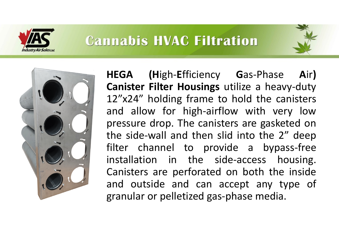



**HEGA (H**igh-**E**fficiency **G**as-Phase **A**ir**) Canister Filter Housings** utilize a heavy-duty 12"x24" holding frame to hold the canisters and allow for high-airflow with very low pressure drop. The canisters are gasketed on the side-wall and then slid into the 2" deep filter channel to provide a bypass-free installation in the side-access housing. Canisters are perforated on both the inside and outside and can accept any type of granular or pelletized gas-phase media.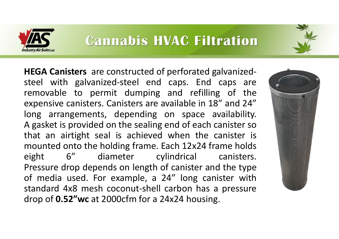



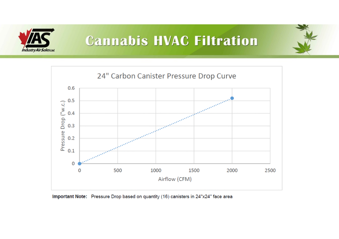





Important Note: Pressure Drop based on quantity (16) canisters in 24"x24" face area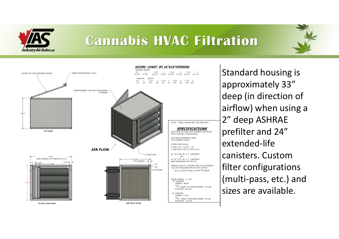

SIZING CHART BY 24"X24"OPENING





Standard housing is approximately 33" deep (in direction of airflow) when using a 2" deep ASHRAE prefilter and 24" extended-life canisters. Custom filter configurations (multi-pass, etc.) and sizes are available.

**FILTER LOAD VIEW**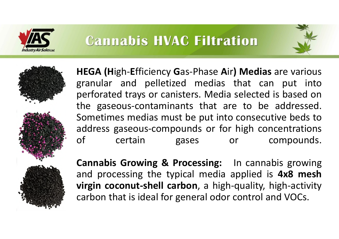





**HEGA (H**igh-**E**fficiency **G**as-Phase **A**ir**) Medias** are various granular and pelletized medias that can put into perforated trays or canisters. Media selected is based on the gaseous-contaminants that are to be addressed. Sometimes medias must be put into consecutive beds to address gaseous-compounds or for high concentrations of certain gases or compounds.

**Cannabis Growing & Processing:** In cannabis growing and processing the typical media applied is **4x8 mesh virgin coconut-shell carbon**, a high-quality, high-activity carbon that is ideal for general odor control and VOCs.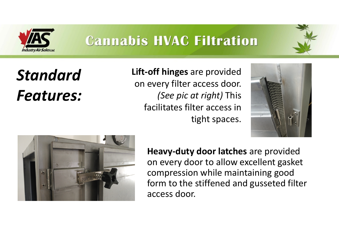

*Standard Features:* **Lift-off hinges** are provided on every filter access door. *(See pic at right)* This facilitates filter access in tight spaces.





**Heavy-duty door latches** are provided on every door to allow excellent gasket compression while maintaining good form to the stiffened and gusseted filter access door.